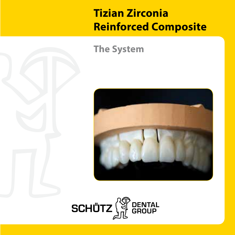## **Tizian Zirconia Reinforced Composite**

### **The System**



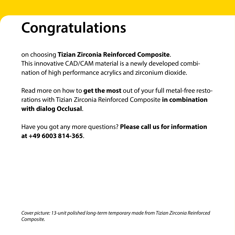# **Congratulations**

on choosing **Tizian Zirconia Reinforced Composite**. This innovative CAD/CAM material is a newly developed combination of high performance acrylics and zirconium dioxide.

Read more on how to **get the most** out of your full metal-free restorations with Tizian Zirconia Reinforced Composite **in combination with dialog Occlusal**.

Have you got any more questions? **Please call us for information at +49 6003 814-365**.

*Cover picture: 13-unit polished long-term temporary made from Tizian Zirconia Reinforced Composite.*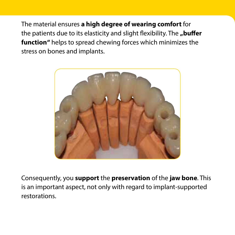The material ensures **a high degree of wearing comfort** for the patients due to its elasticity and slight flexibility. The "**buffer function"** helps to spread chewing forces which minimizes the stress on bones and implants.



Consequently, you **support** the **preservation** of the **jaw bone**. This is an important aspect, not only with regard to implant-supported restorations.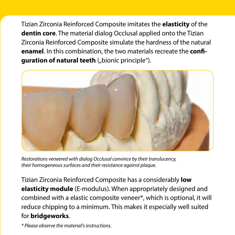Tizian Zirconia Reinforced Composite imitates the **elasticity** of the **dentin core**. The material dialog Occlusal applied onto the Tizian Zirconia Reinforced Composite simulate the hardness of the natural **enamel**. In this combination, the two materials recreate the **configuration of natural teeth** ("bionic principle").



*Restorations veneered with dialog Occlusal convince by their translucency, their homogeneous surfaces and their resistance against plaque.*

Tizian Zirconia Reinforced Composite has a considerably **low elasticity module** (E-modulus). When appropriately designed and combined with a elastic composite veneer\*, which is optional, it will reduce chipping to a minimum. This makes it especially well suited for **bridgeworks**.

*\* Please observe the material's instructions.*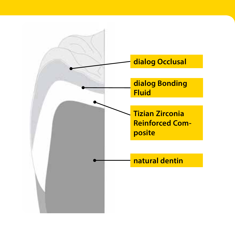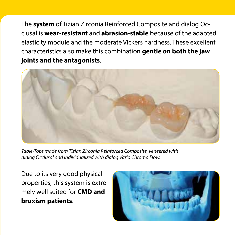The **system** of Tizian Zirconia Reinforced Composite and dialog Occlusal is **wear-resistant** and **abrasion-stable** because of the adapted elasticity module and the moderate Vickers hardness. These excellent characteristics also make this combination **gentle on both the jaw joints and the antagonists**.



*Table-Tops made from Tizian Zirconia Reinforced Composite, veneered with dialog Occlusal and individualized with dialog Vario Chroma Flow.*

Due to its very good physical properties, this system is extremely well suited for **CMD and bruxism patients**.

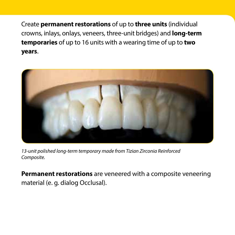Create **permanent restorations** of up to **three units** (individual crowns, inlays, onlays, veneers, three-unit bridges) and **long-term temporaries** of up to 16 units with a wearing time of up to **two years**.



*13-unit polished long-term temporary made from Tizian Zirconia Reinforced Composite.*

**Permanent restorations** are veneered with a composite veneering material (e. g. dialog Occlusal).